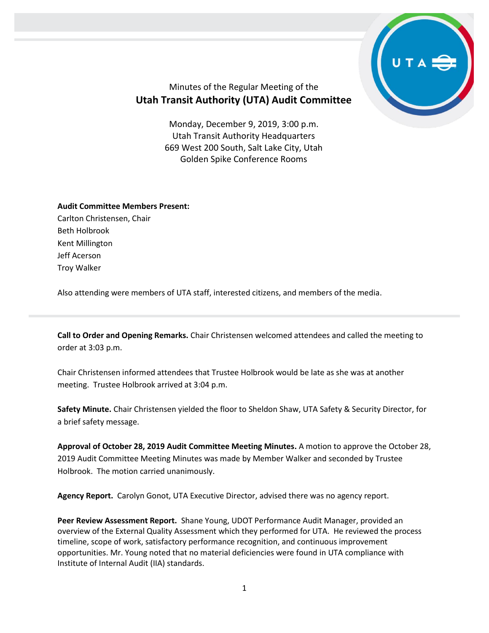

## Minutes of the Regular Meeting of the **Utah Transit Authority (UTA) Audit Committee**

Monday, December 9, 2019, 3:00 p.m. Utah Transit Authority Headquarters 669 West 200 South, Salt Lake City, Utah Golden Spike Conference Rooms

## **Audit Committee Members Present:**

Carlton Christensen, Chair Beth Holbrook Kent Millington Jeff Acerson Troy Walker

Also attending were members of UTA staff, interested citizens, and members of the media.

**Call to Order and Opening Remarks.** Chair Christensen welcomed attendees and called the meeting to order at 3:03 p.m.

Chair Christensen informed attendees that Trustee Holbrook would be late as she was at another meeting. Trustee Holbrook arrived at 3:04 p.m.

**Safety Minute.** Chair Christensen yielded the floor to Sheldon Shaw, UTA Safety & Security Director, for a brief safety message.

**Approval of October 28, 2019 Audit Committee Meeting Minutes.** A motion to approve the October 28, 2019 Audit Committee Meeting Minutes was made by Member Walker and seconded by Trustee Holbrook. The motion carried unanimously.

**Agency Report.** Carolyn Gonot, UTA Executive Director, advised there was no agency report.

**Peer Review Assessment Report.** Shane Young, UDOT Performance Audit Manager, provided an overview of the External Quality Assessment which they performed for UTA. He reviewed the process timeline, scope of work, satisfactory performance recognition, and continuous improvement opportunities. Mr. Young noted that no material deficiencies were found in UTA compliance with Institute of Internal Audit (IIA) standards.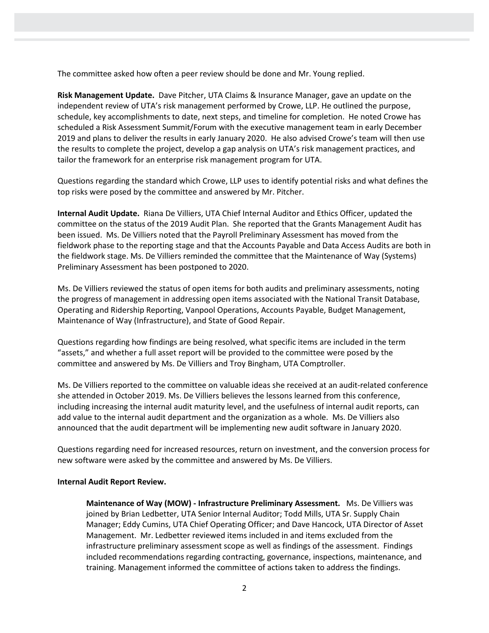The committee asked how often a peer review should be done and Mr. Young replied.

**Risk Management Update.** Dave Pitcher, UTA Claims & Insurance Manager, gave an update on the independent review of UTA's risk management performed by Crowe, LLP. He outlined the purpose, schedule, key accomplishments to date, next steps, and timeline for completion. He noted Crowe has scheduled a Risk Assessment Summit/Forum with the executive management team in early December 2019 and plans to deliver the results in early January 2020. He also advised Crowe's team will then use the results to complete the project, develop a gap analysis on UTA's risk management practices, and tailor the framework for an enterprise risk management program for UTA.

Questions regarding the standard which Crowe, LLP uses to identify potential risks and what defines the top risks were posed by the committee and answered by Mr. Pitcher.

**Internal Audit Update.** Riana De Villiers, UTA Chief Internal Auditor and Ethics Officer, updated the committee on the status of the 2019 Audit Plan. She reported that the Grants Management Audit has been issued. Ms. De Villiers noted that the Payroll Preliminary Assessment has moved from the fieldwork phase to the reporting stage and that the Accounts Payable and Data Access Audits are both in the fieldwork stage. Ms. De Villiers reminded the committee that the Maintenance of Way (Systems) Preliminary Assessment has been postponed to 2020.

Ms. De Villiers reviewed the status of open items for both audits and preliminary assessments, noting the progress of management in addressing open items associated with the National Transit Database, Operating and Ridership Reporting, Vanpool Operations, Accounts Payable, Budget Management, Maintenance of Way (Infrastructure), and State of Good Repair.

Questions regarding how findings are being resolved, what specific items are included in the term "assets," and whether a full asset report will be provided to the committee were posed by the committee and answered by Ms. De Villiers and Troy Bingham, UTA Comptroller.

Ms. De Villiers reported to the committee on valuable ideas she received at an audit-related conference she attended in October 2019. Ms. De Villiers believes the lessons learned from this conference, including increasing the internal audit maturity level, and the usefulness of internal audit reports, can add value to the internal audit department and the organization as a whole. Ms. De Villiers also announced that the audit department will be implementing new audit software in January 2020.

Questions regarding need for increased resources, return on investment, and the conversion process for new software were asked by the committee and answered by Ms. De Villiers.

## **Internal Audit Report Review.**

**Maintenance of Way (MOW) - Infrastructure Preliminary Assessment.** Ms. De Villiers was joined by Brian Ledbetter, UTA Senior Internal Auditor; Todd Mills, UTA Sr. Supply Chain Manager; Eddy Cumins, UTA Chief Operating Officer; and Dave Hancock, UTA Director of Asset Management. Mr. Ledbetter reviewed items included in and items excluded from the infrastructure preliminary assessment scope as well as findings of the assessment. Findings included recommendations regarding contracting, governance, inspections, maintenance, and training. Management informed the committee of actions taken to address the findings.